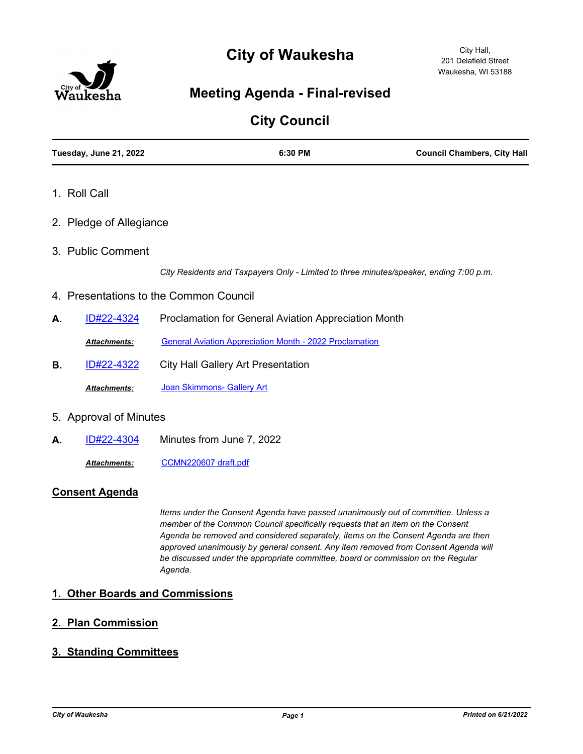# **City of Waukesha**



## **Meeting Agenda - Final-revised**

## **City Council**

|    | Tuesday, June 21, 2022  | 6:30 PM                                                                                | <b>Council Chambers, City Hall</b> |
|----|-------------------------|----------------------------------------------------------------------------------------|------------------------------------|
|    | 1. Roll Call            |                                                                                        |                                    |
|    | 2. Pledge of Allegiance |                                                                                        |                                    |
|    | 3. Public Comment       |                                                                                        |                                    |
|    |                         | City Residents and Taxpayers Only - Limited to three minutes/speaker, ending 7:00 p.m. |                                    |
|    |                         | 4. Presentations to the Common Council                                                 |                                    |
| А. | ID#22-4324              | Proclamation for General Aviation Appreciation Month                                   |                                    |
|    | <b>Attachments:</b>     | <b>General Aviation Appreciation Month - 2022 Proclamation</b>                         |                                    |
| В. | <u>ID#22-4322</u>       | <b>City Hall Gallery Art Presentation</b>                                              |                                    |
|    | <b>Attachments:</b>     | Joan Skimmons- Gallery Art                                                             |                                    |
|    | 5. Approval of Minutes  |                                                                                        |                                    |
| А. | ID#22-4304              | Minutes from June 7, 2022                                                              |                                    |

*Attachments:* [CCMN220607 draft.pdf](http://waukesha.legistar.com/gateway.aspx?M=F&ID=30e2773c-9292-4427-8888-3ca5c7984535.pdf)

### **Consent Agenda**

*Items under the Consent Agenda have passed unanimously out of committee. Unless a member of the Common Council specifically requests that an item on the Consent Agenda be removed and considered separately, items on the Consent Agenda are then approved unanimously by general consent. Any item removed from Consent Agenda will be discussed under the appropriate committee, board or commission on the Regular Agenda.*

### **1. Other Boards and Commissions**

### **2. Plan Commission**

### **3. Standing Committees**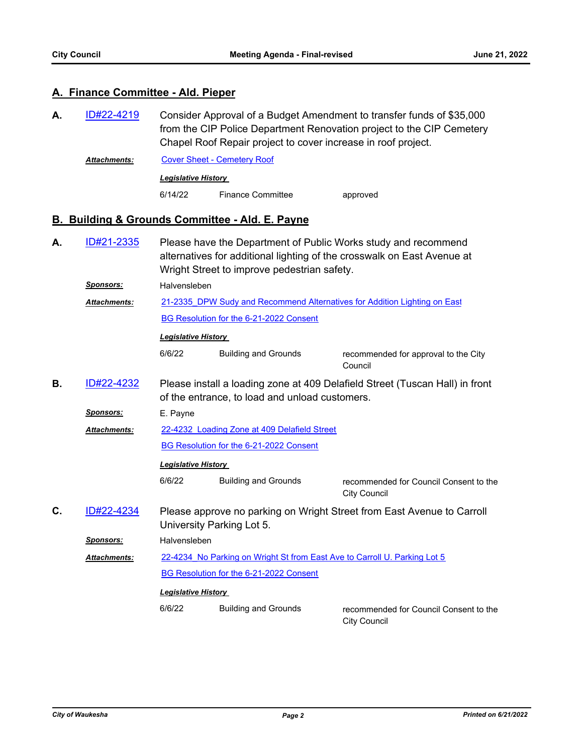#### **A. Finance Committee - Ald. Pieper**

- Consider Approval of a Budget Amendment to transfer funds of \$35,000 from the CIP Police Department Renovation project to the CIP Cemetery Chapel Roof Repair project to cover increase in roof project. **A.** [ID#22-4219](http://waukesha.legistar.com/gateway.aspx?m=l&id=/matter.aspx?key=17111)
	- Attachments: [Cover Sheet Cemetery Roof](http://waukesha.legistar.com/gateway.aspx?M=F&ID=2552785c-cfc1-479a-ad09-f8e71add4f02.pdf) *Legislative History*  6/14/22 Finance Committee approved

#### **B. Building & Grounds Committee - Ald. E. Payne**

Please have the Department of Public Works study and recommend alternatives for additional lighting of the crosswalk on East Avenue at Wright Street to improve pedestrian safety. **A.** [ID#21-2335](http://waukesha.legistar.com/gateway.aspx?m=l&id=/matter.aspx?key=15325) *Sponsors:* Halvensleben 21-2335 DPW Sudy and Recommend Alternatives for Addition Lighting on East [BG Resolution for the 6-21-2022 Consent](http://waukesha.legistar.com/gateway.aspx?M=F&ID=156b437e-aa62-41e0-a6eb-fa970cc9dbe6.pdf) *Attachments: Legislative History*  6/6/22 Building and Grounds recommended for approval to the City Council Please install a loading zone at 409 Delafield Street (Tuscan Hall) in front of the entrance, to load and unload customers. **B.** [ID#22-4232](http://waukesha.legistar.com/gateway.aspx?m=l&id=/matter.aspx?key=17123) *Sponsors:* E. Payne [22-4232\\_Loading Zone at 409 Delafield Street](http://waukesha.legistar.com/gateway.aspx?M=F&ID=4046ae32-5471-436f-ab77-34ec43d86263.pdf) [BG Resolution for the 6-21-2022 Consent](http://waukesha.legistar.com/gateway.aspx?M=F&ID=668f38b2-a1e9-48de-ac7a-8d1b7ab4d4c6.pdf) *Attachments: Legislative History*  6/6/22 Building and Grounds recommended for Council Consent to the City Council Please approve no parking on Wright Street from East Avenue to Carroll University Parking Lot 5. **C.** [ID#22-4234](http://waukesha.legistar.com/gateway.aspx?m=l&id=/matter.aspx?key=17125) *Sponsors:* Halvensleben 22-4234 No Parking on Wright St from East Ave to Carroll U. Parking Lot 5 [BG Resolution for the 6-21-2022 Consent](http://waukesha.legistar.com/gateway.aspx?M=F&ID=aa187e71-4a9b-48f5-9b26-83a8baba756d.pdf) *Attachments: Legislative History*  6/6/22 Building and Grounds recommended for Council Consent to the City Council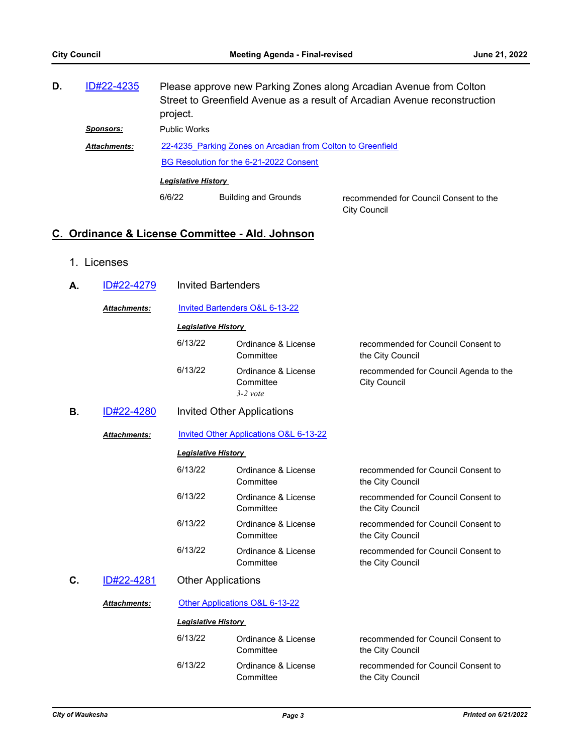| D. | ID#22-4235          | Please approve new Parking Zones along Arcadian Avenue from Colton<br>Street to Greenfield Avenue as a result of Arcadian Avenue reconstruction<br>project. |                             |                                                               |
|----|---------------------|-------------------------------------------------------------------------------------------------------------------------------------------------------------|-----------------------------|---------------------------------------------------------------|
|    | Sponsors:           | <b>Public Works</b>                                                                                                                                         |                             |                                                               |
|    | <b>Attachments:</b> | 22-4235 Parking Zones on Arcadian from Colton to Greenfield                                                                                                 |                             |                                                               |
|    |                     | BG Resolution for the 6-21-2022 Consent                                                                                                                     |                             |                                                               |
|    |                     | <b>Legislative History</b>                                                                                                                                  |                             |                                                               |
|    |                     | 6/6/22                                                                                                                                                      | <b>Building and Grounds</b> | recommended for Council Consent to the<br><b>City Council</b> |

## **C. Ordinance & License Committee - Ald. Johnson**

1. Licenses

| А. | ID#22-4279          | <b>Invited Bartenders</b>  |                                                |                                                              |  |
|----|---------------------|----------------------------|------------------------------------------------|--------------------------------------------------------------|--|
|    | <b>Attachments:</b> |                            | Invited Bartenders O&L 6-13-22                 |                                                              |  |
|    |                     | <b>Legislative History</b> |                                                |                                                              |  |
|    |                     | 6/13/22                    | Ordinance & License<br>Committee               | recommended for Council Consent to<br>the City Council       |  |
|    |                     | 6/13/22                    | Ordinance & License<br>Committee<br>$3-2$ vote | recommended for Council Agenda to the<br><b>City Council</b> |  |
| В. | ID#22-4280          |                            | <b>Invited Other Applications</b>              |                                                              |  |
|    | <b>Attachments:</b> |                            | Invited Other Applications O&L 6-13-22         |                                                              |  |
|    |                     | <b>Legislative History</b> |                                                |                                                              |  |
|    |                     | 6/13/22                    | Ordinance & License<br>Committee               | recommended for Council Consent to<br>the City Council       |  |
|    |                     | 6/13/22                    | Ordinance & License<br>Committee               | recommended for Council Consent to<br>the City Council       |  |
|    |                     | 6/13/22                    | Ordinance & License<br>Committee               | recommended for Council Consent to<br>the City Council       |  |
|    |                     | 6/13/22                    | Ordinance & License<br>Committee               | recommended for Council Consent to<br>the City Council       |  |
| C. | ID#22-4281          | <b>Other Applications</b>  |                                                |                                                              |  |
|    | <b>Attachments:</b> |                            | Other Applications O&L 6-13-22                 |                                                              |  |
|    |                     | <b>Legislative History</b> |                                                |                                                              |  |
|    |                     | 6/13/22                    | Ordinance & License<br>Committee               | recommended for Council Consent to<br>the City Council       |  |
|    |                     | 6/13/22                    | Ordinance & License<br>Committee               | recommended for Council Consent to<br>the City Council       |  |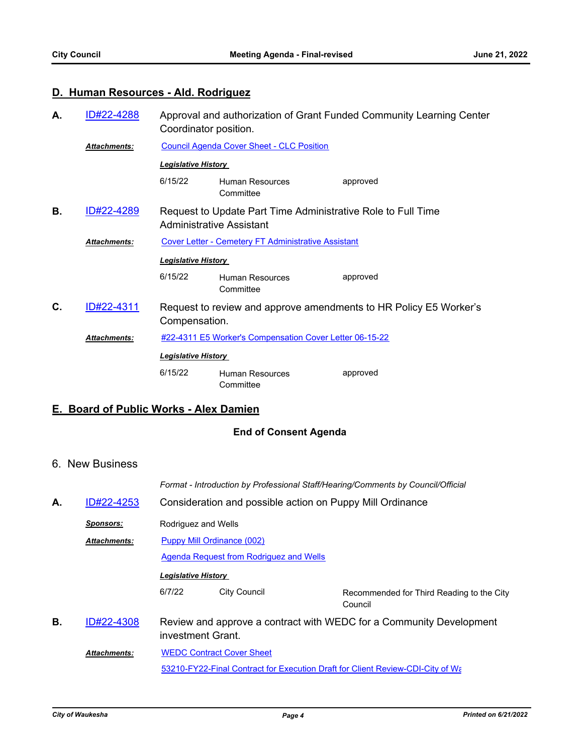## **D. Human Resources - Ald. Rodriguez**

| А. | ID#22-4288          | Coordinator position.                                                                    |                                                         | Approval and authorization of Grant Funded Community Learning Center |
|----|---------------------|------------------------------------------------------------------------------------------|---------------------------------------------------------|----------------------------------------------------------------------|
|    | <b>Attachments:</b> |                                                                                          | <b>Council Agenda Cover Sheet - CLC Position</b>        |                                                                      |
|    |                     | <b>Legislative History</b>                                                               |                                                         |                                                                      |
|    |                     | 6/15/22                                                                                  | Human Resources<br>Committee                            | approved                                                             |
| В. | ID#22-4289          | Request to Update Part Time Administrative Role to Full Time<br>Administrative Assistant |                                                         |                                                                      |
|    | <b>Attachments:</b> |                                                                                          | Cover Letter - Cemetery FT Administrative Assistant     |                                                                      |
|    |                     | <b>Legislative History</b>                                                               |                                                         |                                                                      |
|    |                     | 6/15/22                                                                                  | Human Resources<br>Committee                            | approved                                                             |
| C. | ID#22-4311          | Compensation.                                                                            |                                                         | Request to review and approve amendments to HR Policy E5 Worker's    |
|    | <b>Attachments:</b> |                                                                                          | #22-4311 E5 Worker's Compensation Cover Letter 06-15-22 |                                                                      |
|    |                     | <b>Legislative History</b>                                                               |                                                         |                                                                      |
|    |                     | 6/15/22                                                                                  | Human Resources<br>Committee                            | approved                                                             |
|    |                     |                                                                                          |                                                         |                                                                      |

## **E. Board of Public Works - Alex Damien**

## **End of Consent Agenda**

### 6. New Business

|    |                     | Format - Introduction by Professional Staff/Hearing/Comments by Council/Official         |  |  |  |
|----|---------------------|------------------------------------------------------------------------------------------|--|--|--|
| А. | ID#22-4253          | Consideration and possible action on Puppy Mill Ordinance                                |  |  |  |
|    | Sponsors:           | Rodriguez and Wells                                                                      |  |  |  |
|    | <b>Attachments:</b> | Puppy Mill Ordinance (002)                                                               |  |  |  |
|    |                     | Agenda Request from Rodriguez and Wells                                                  |  |  |  |
|    |                     | <b>Legislative History</b>                                                               |  |  |  |
|    |                     | <b>City Council</b><br>6/7/22<br>Recommended for Third Reading to the City<br>Council    |  |  |  |
| В. | ID#22-4308          | Review and approve a contract with WEDC for a Community Development<br>investment Grant. |  |  |  |
|    | <b>Attachments:</b> | <b>WEDC Contract Cover Sheet</b>                                                         |  |  |  |
|    |                     | 53210-FY22-Final Contract for Execution Draft for Client Review-CDI-City of Wa           |  |  |  |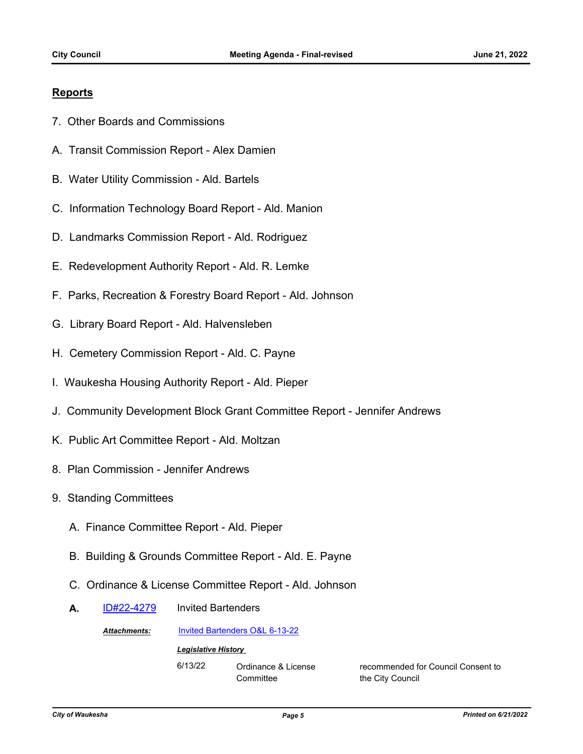#### **Reports**

- 7. Other Boards and Commissions
- A. Transit Commission Report Alex Damien
- B. Water Utility Commission Ald. Bartels
- C. Information Technology Board Report Ald. Manion
- D. Landmarks Commission Report Ald. Rodriguez
- E. Redevelopment Authority Report Ald. R. Lemke
- F. Parks, Recreation & Forestry Board Report Ald. Johnson
- G. Library Board Report Ald. Halvensleben
- H. Cemetery Commission Report Ald. C. Payne
- I. Waukesha Housing Authority Report Ald. Pieper
- J. Community Development Block Grant Committee Report Jennifer Andrews
- K. Public Art Committee Report Ald. Moltzan
- 8. Plan Commission Jennifer Andrews
- 9. Standing Committees
	- A. Finance Committee Report Ald. Pieper
	- B. Building & Grounds Committee Report Ald. E. Payne
	- C. Ordinance & License Committee Report Ald. Johnson
	- A. [ID#22-4279](http://waukesha.legistar.com/gateway.aspx?m=l&id=/matter.aspx?key=17168) Invited Bartenders

*Attachments:* [Invited Bartenders O&L 6-13-22](http://waukesha.legistar.com/gateway.aspx?M=F&ID=127b1320-6717-4fa8-a231-d030bf0a2006.pdf)

*Legislative History* 

6/13/22 Ordinance & License **Committee** 

recommended for Council Consent to the City Council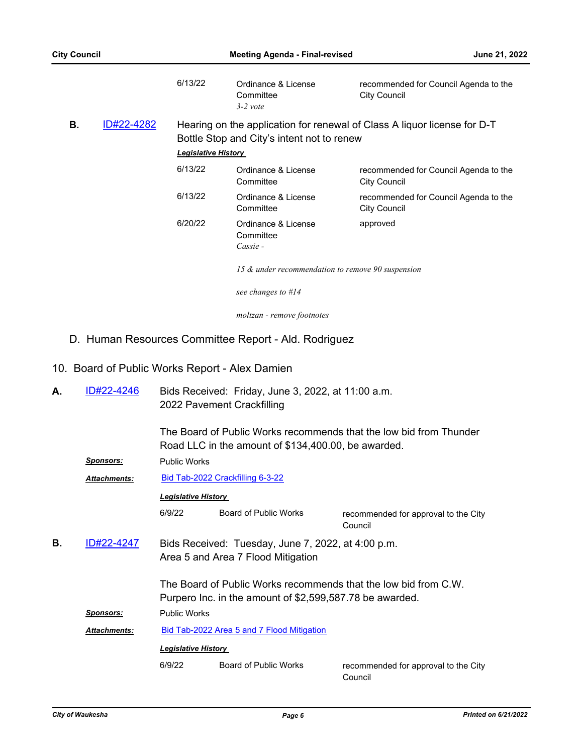|    |            | 6/13/22                    | Ordinance & License<br>Committee<br>$3-2$ vote    | recommended for Council Agenda to the<br><b>City Council</b>             |
|----|------------|----------------------------|---------------------------------------------------|--------------------------------------------------------------------------|
| В. | ID#22-4282 | <b>Legislative History</b> | Bottle Stop and City's intent not to renew        | Hearing on the application for renewal of Class A liquor license for D-T |
|    |            | 6/13/22                    | Ordinance & License<br>Committee                  | recommended for Council Agenda to the<br><b>City Council</b>             |
|    |            | 6/13/22                    | Ordinance & License<br>Committee                  | recommended for Council Agenda to the<br>City Council                    |
|    |            | 6/20/22                    | Ordinance & License<br>Committee<br>Cassie -      | approved                                                                 |
|    |            |                            | 15 & under recommendation to remove 90 suspension |                                                                          |
|    |            |                            | see changes to #14                                |                                                                          |

*moltzan - remove footnotes*

## D. Human Resources Committee Report - Ald. Rodriguez

## 10. Board of Public Works Report - Alex Damien

| А. | ID#22-4246          | Bids Received: Friday, June 3, 2022, at 11:00 a.m.<br>2022 Pavement Crackfilling                                            |                                                     |                                                                    |  |  |
|----|---------------------|-----------------------------------------------------------------------------------------------------------------------------|-----------------------------------------------------|--------------------------------------------------------------------|--|--|
|    |                     |                                                                                                                             | Road LLC in the amount of \$134,400.00, be awarded. | The Board of Public Works recommends that the low bid from Thunder |  |  |
|    | <u>Sponsors:</u>    | <b>Public Works</b>                                                                                                         |                                                     |                                                                    |  |  |
|    | <b>Attachments:</b> |                                                                                                                             | Bid Tab-2022 Crackfilling 6-3-22                    |                                                                    |  |  |
|    |                     | <b>Legislative History</b>                                                                                                  |                                                     |                                                                    |  |  |
|    |                     | 6/9/22                                                                                                                      | <b>Board of Public Works</b>                        | recommended for approval to the City<br>Council                    |  |  |
| В. | ID#22-4247          | Bids Received: Tuesday, June 7, 2022, at 4:00 p.m.<br>Area 5 and Area 7 Flood Mitigation                                    |                                                     |                                                                    |  |  |
|    |                     | The Board of Public Works recommends that the low bid from C.W.<br>Purpero Inc. in the amount of \$2,599,587.78 be awarded. |                                                     |                                                                    |  |  |
|    | Sponsors:           | <b>Public Works</b>                                                                                                         |                                                     |                                                                    |  |  |
|    | <b>Attachments:</b> | Bid Tab-2022 Area 5 and 7 Flood Mitigation                                                                                  |                                                     |                                                                    |  |  |
|    |                     | <b>Legislative History</b>                                                                                                  |                                                     |                                                                    |  |  |
|    |                     | 6/9/22                                                                                                                      | <b>Board of Public Works</b>                        | recommended for approval to the City<br>Council                    |  |  |